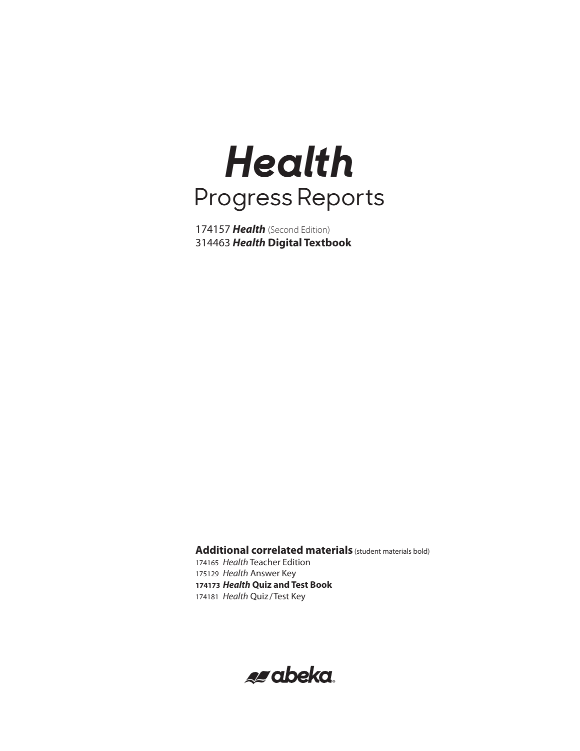# *Health* Progress Reports

 *Health* (Second Edition) *Health* **Digital Textbook**

**Additional correlated materials** (student materials bold) *Health* Teacher Edition

 *Health* Answer Key *Health* **Quiz and Test Book** *Health* Quiz /Test Key

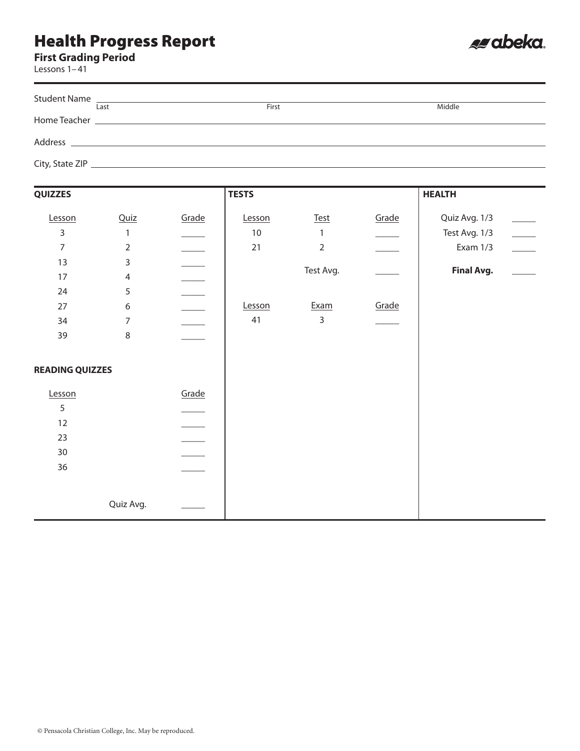## Health Progress Report

#### **First Grading Period**

Les

| Lessons 1-41 |      |       |        |
|--------------|------|-------|--------|
|              | Last | First | Middle |
|              |      |       |        |
|              |      |       |        |
|              |      |       |        |

es abeka.

| <b>QUIZZES</b>         |                  |       | <b>TESTS</b> |                |       | <b>HEALTH</b>     |                          |
|------------------------|------------------|-------|--------------|----------------|-------|-------------------|--------------------------|
| Lesson                 | Quiz             | Grade | Lesson       | <b>Test</b>    | Grade | Quiz Avg. 1/3     |                          |
| 3                      | 1                |       | $10\,$       | 1              |       | Test Avg. 1/3     | $\overline{\phantom{a}}$ |
| $\overline{7}$         | $\overline{2}$   |       | $21$         | $\overline{2}$ |       | Exam 1/3          | $\overline{\phantom{a}}$ |
| 13                     | $\overline{3}$   |       |              |                |       |                   |                          |
| 17                     | $\overline{4}$   |       |              | Test Avg.      |       | <b>Final Avg.</b> |                          |
| 24                     | 5                |       |              |                |       |                   |                          |
| 27                     | $\boldsymbol{6}$ |       | Lesson       | Exam           | Grade |                   |                          |
|                        |                  |       | 41           | 3              |       |                   |                          |
| 34                     | $\overline{7}$   |       |              |                |       |                   |                          |
| 39                     | $\,8\,$          |       |              |                |       |                   |                          |
|                        |                  |       |              |                |       |                   |                          |
| <b>READING QUIZZES</b> |                  |       |              |                |       |                   |                          |
|                        |                  |       |              |                |       |                   |                          |
| Lesson                 |                  | Grade |              |                |       |                   |                          |
| 5                      |                  |       |              |                |       |                   |                          |
| 12                     |                  |       |              |                |       |                   |                          |
| 23                     |                  |       |              |                |       |                   |                          |
| 30                     |                  |       |              |                |       |                   |                          |
| 36                     |                  |       |              |                |       |                   |                          |
|                        |                  |       |              |                |       |                   |                          |
|                        |                  |       |              |                |       |                   |                          |
|                        | Quiz Avg.        |       |              |                |       |                   |                          |